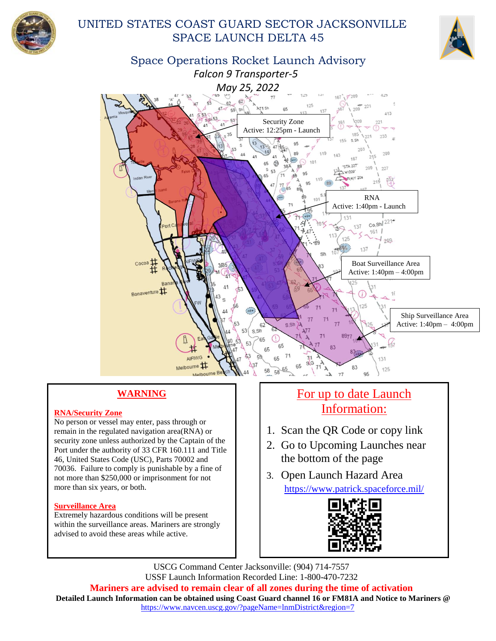

## UNITED STATES COAST GUARD SECTOR JACKSONVILLE SPACE LAUNCH DELTA 45



Space Operations Rocket Launch Advisory  *Falcon 9 Transporter-5 May 25, 2022*



## **WARNING**

#### **RNA/Security Zone**

No person or vessel may enter, pass through or remain in the regulated navigation area(RNA) or security zone unless authorized by the Captain of the Port under the authority of 33 CFR 160.111 and Title 46, United States Code (USC), Parts 70002 and 70036. Failure to comply is punishable by a fine of not more than \$250,000 or imprisonment for not more than six years, or both.

#### **Surveillance Area**

Extremely hazardous conditions will be present within the surveillance areas. Mariners are strongly advised to avoid these areas while active.

## For up to date Launch Information:

- 1. Scan the QR Code or copy link
- 2. Go to Upcoming Launches near the bottom of the page
- 3. Open Launch Hazard Area <https://www.patrick.spaceforce.mil/>



USCG Command Center Jacksonville: (904) 714-7557 USSF Launch Information Recorded Line: 1-800-470-7232 **Mariners are advised to remain clear of all zones during the time of activation Detailed Launch Information can be obtained using Coast Guard channel 16 or FM81A and Notice to Mariners @** [https://www.navcen.uscg.gov/?pageName=lnmDistrict&region=7](https://www.navcen.uscg.gov/?pageName=lnmDistrict®ion=7)